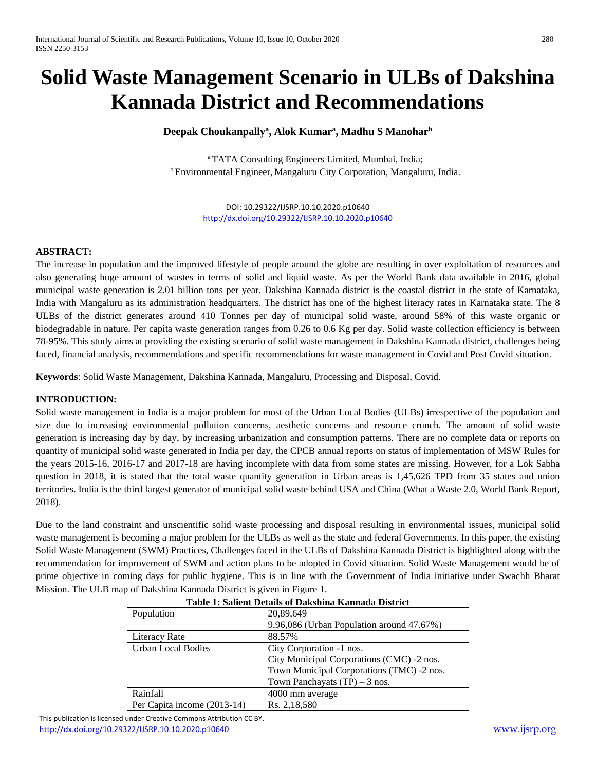# **Solid Waste Management Scenario in ULBs of Dakshina Kannada District and Recommendations**

## **Deepak Choukanpally<sup>a</sup> , Alok Kumar<sup>a</sup> , Madhu S Manohar<sup>b</sup>**

<sup>a</sup>TATA Consulting Engineers Limited, Mumbai, India; <sup>b</sup>Environmental Engineer, Mangaluru City Corporation, Mangaluru, India.

> DOI: 10.29322/IJSRP.10.10.2020.p10640 <http://dx.doi.org/10.29322/IJSRP.10.10.2020.p10640>

#### **ABSTRACT:**

The increase in population and the improved lifestyle of people around the globe are resulting in over exploitation of resources and also generating huge amount of wastes in terms of solid and liquid waste. As per the World Bank data available in 2016, global municipal waste generation is 2.01 billion tons per year. Dakshina Kannada district is the coastal district in the state of Karnataka, India with Mangaluru as its administration headquarters. The district has one of the highest literacy rates in Karnataka state. The 8 ULBs of the district generates around 410 Tonnes per day of municipal solid waste, around 58% of this waste organic or biodegradable in nature. Per capita waste generation ranges from 0.26 to 0.6 Kg per day. Solid waste collection efficiency is between 78-95%. This study aims at providing the existing scenario of solid waste management in Dakshina Kannada district, challenges being faced, financial analysis, recommendations and specific recommendations for waste management in Covid and Post Covid situation.

**Keywords**: Solid Waste Management, Dakshina Kannada, Mangaluru, Processing and Disposal, Covid.

#### **INTRODUCTION:**

Solid waste management in India is a major problem for most of the Urban Local Bodies (ULBs) irrespective of the population and size due to increasing environmental pollution concerns, aesthetic concerns and resource crunch. The amount of solid waste generation is increasing day by day, by increasing urbanization and consumption patterns. There are no complete data or reports on quantity of municipal solid waste generated in India per day, the CPCB annual reports on status of implementation of MSW Rules for the years 2015-16, 2016-17 and 2017-18 are having incomplete with data from some states are missing. However, for a Lok Sabha question in 2018, it is stated that the total waste quantity generation in Urban areas is 1,45,626 TPD from 35 states and union territories. India is the third largest generator of municipal solid waste behind USA and China (What a Waste 2.0, World Bank Report, 2018).

Due to the land constraint and unscientific solid waste processing and disposal resulting in environmental issues, municipal solid waste management is becoming a major problem for the ULBs as well as the state and federal Governments. In this paper, the existing Solid Waste Management (SWM) Practices, Challenges faced in the ULBs of Dakshina Kannada District is highlighted along with the recommendation for improvement of SWM and action plans to be adopted in Covid situation. Solid Waste Management would be of prime objective in coming days for public hygiene. This is in line with the Government of India initiative under Swachh Bharat Mission. The ULB map of Dakshina Kannada District is given in Figure 1.

| Population                  | 20,89,649                                 |
|-----------------------------|-------------------------------------------|
|                             | 9,96,086 (Urban Population around 47.67%) |
| Literacy Rate               | 88.57%                                    |
| <b>Urban Local Bodies</b>   | City Corporation -1 nos.                  |
|                             | City Municipal Corporations (CMC) -2 nos. |
|                             | Town Municipal Corporations (TMC) -2 nos. |
|                             | Town Panchayats $(TP) - 3$ nos.           |
| Rainfall                    | 4000 mm average                           |
| Per Capita income (2013-14) | Rs. 2,18,580                              |

### **Table 1: Salient Details of Dakshina Kannada District**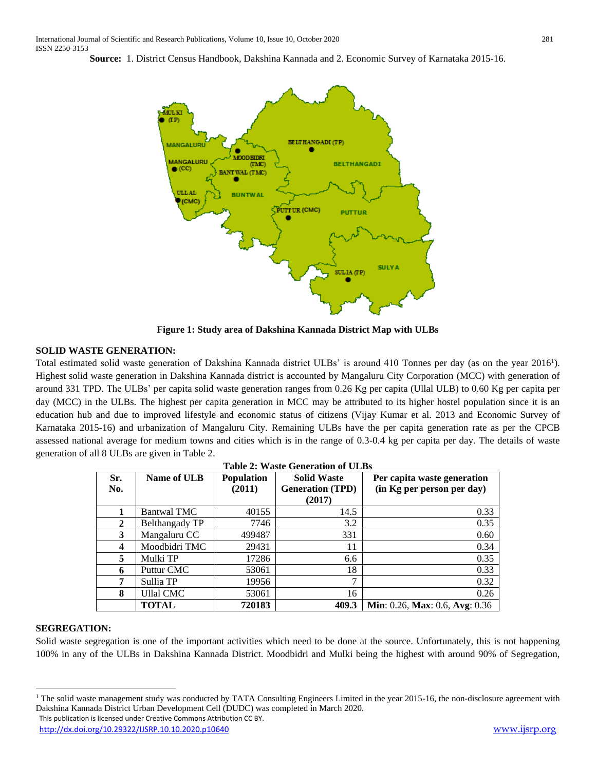**Source:** 1. District Census Handbook, Dakshina Kannada and 2. Economic Survey of Karnataka 2015-16.



**Figure 1: Study area of Dakshina Kannada District Map with ULBs**

### **SOLID WASTE GENERATION:**

Total estimated solid waste generation of Dakshina Kannada district ULBs' is around 410 Tonnes per day (as on the year 2016<sup>1</sup>). Highest solid waste generation in Dakshina Kannada district is accounted by Mangaluru City Corporation (MCC) with generation of around 331 TPD. The ULBs' per capita solid waste generation ranges from 0.26 Kg per capita (Ullal ULB) to 0.60 Kg per capita per day (MCC) in the ULBs. The highest per capita generation in MCC may be attributed to its higher hostel population since it is an education hub and due to improved lifestyle and economic status of citizens (Vijay Kumar et al. 2013 and Economic Survey of Karnataka 2015-16) and urbanization of Mangaluru City. Remaining ULBs have the per capita generation rate as per the CPCB assessed national average for medium towns and cities which is in the range of 0.3-0.4 kg per capita per day. The details of waste generation of all 8 ULBs are given in Table 2.

| Table 2: waste Generation of ULBS |                    |                             |                                                         |                                                           |
|-----------------------------------|--------------------|-----------------------------|---------------------------------------------------------|-----------------------------------------------------------|
| Sr.<br>No.                        | Name of ULB        | <b>Population</b><br>(2011) | <b>Solid Waste</b><br><b>Generation (TPD)</b><br>(2017) | Per capita waste generation<br>(in Kg per person per day) |
| 1                                 | <b>Bantwal TMC</b> | 40155                       | 14.5                                                    | 0.33                                                      |
| $\mathbf{2}$                      | Belthangady TP     | 7746                        | 3.2                                                     | 0.35                                                      |
| 3                                 | Mangaluru CC       | 499487                      | 331                                                     | 0.60                                                      |
| 4                                 | Moodbidri TMC      | 29431                       | 11                                                      | 0.34                                                      |
| 5                                 | Mulki TP           | 17286                       | 6.6                                                     | 0.35                                                      |
| 6                                 | Puttur CMC         | 53061                       | 18                                                      | 0.33                                                      |
| 7                                 | Sullia TP          | 19956                       | 7                                                       | 0.32                                                      |
| 8                                 | <b>Ullal CMC</b>   | 53061                       | 16                                                      | 0.26                                                      |
|                                   | <b>TOTAL</b>       | 720183                      | 409.3                                                   | Min: 0.26, Max: 0.6, Avg: 0.36                            |

**Table 2: Waste Generation of ULBs**

#### **SEGREGATION:**

 $\overline{a}$ 

Solid waste segregation is one of the important activities which need to be done at the source. Unfortunately, this is not happening 100% in any of the ULBs in Dakshina Kannada District. Moodbidri and Mulki being the highest with around 90% of Segregation,

This publication is licensed under Creative Commons Attribution CC BY.  $<sup>1</sup>$  The solid waste management study was conducted by TATA Consulting Engineers Limited in the year 2015-16, the non-disclosure agreement with</sup> Dakshina Kannada District Urban Development Cell (DUDC) was completed in March 2020.

<http://dx.doi.org/10.29322/IJSRP.10.10.2020.p10640> [www.ijsrp.org](http://ijsrp.org/)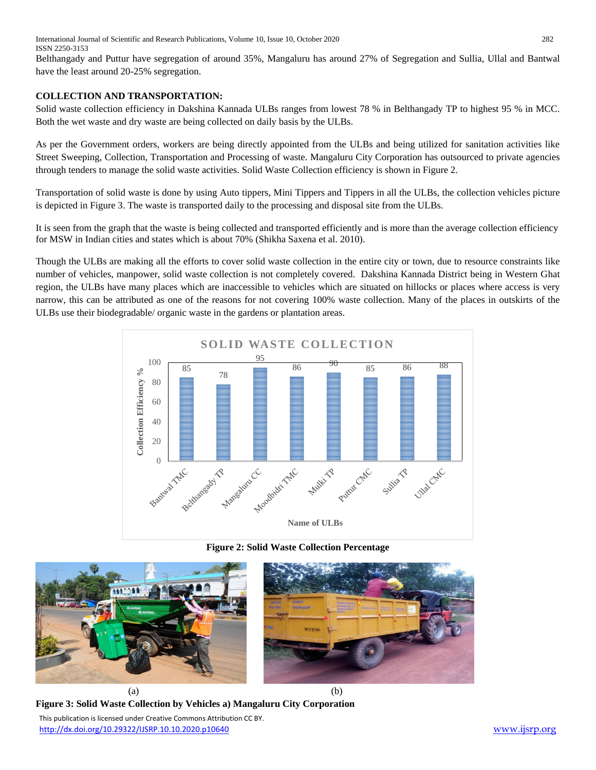International Journal of Scientific and Research Publications, Volume 10, Issue 10, October 2020 282 ISSN 2250-3153

Belthangady and Puttur have segregation of around 35%, Mangaluru has around 27% of Segregation and Sullia, Ullal and Bantwal have the least around 20-25% segregation.

## **COLLECTION AND TRANSPORTATION:**

Solid waste collection efficiency in Dakshina Kannada ULBs ranges from lowest 78 % in Belthangady TP to highest 95 % in MCC. Both the wet waste and dry waste are being collected on daily basis by the ULBs.

As per the Government orders, workers are being directly appointed from the ULBs and being utilized for sanitation activities like Street Sweeping, Collection, Transportation and Processing of waste. Mangaluru City Corporation has outsourced to private agencies through tenders to manage the solid waste activities. Solid Waste Collection efficiency is shown in Figure 2.

Transportation of solid waste is done by using Auto tippers, Mini Tippers and Tippers in all the ULBs, the collection vehicles picture is depicted in Figure 3. The waste is transported daily to the processing and disposal site from the ULBs.

It is seen from the graph that the waste is being collected and transported efficiently and is more than the average collection efficiency for MSW in Indian cities and states which is about 70% (Shikha Saxena et al. 2010).

Though the ULBs are making all the efforts to cover solid waste collection in the entire city or town, due to resource constraints like number of vehicles, manpower, solid waste collection is not completely covered. Dakshina Kannada District being in Western Ghat region, the ULBs have many places which are inaccessible to vehicles which are situated on hillocks or places where access is very narrow, this can be attributed as one of the reasons for not covering 100% waste collection. Many of the places in outskirts of the ULBs use their biodegradable/ organic waste in the gardens or plantation areas.



**Figure 2: Solid Waste Collection Percentage**



 This publication is licensed under Creative Commons Attribution CC BY. **Figure 3: Solid Waste Collection by Vehicles a) Mangaluru City Corporation**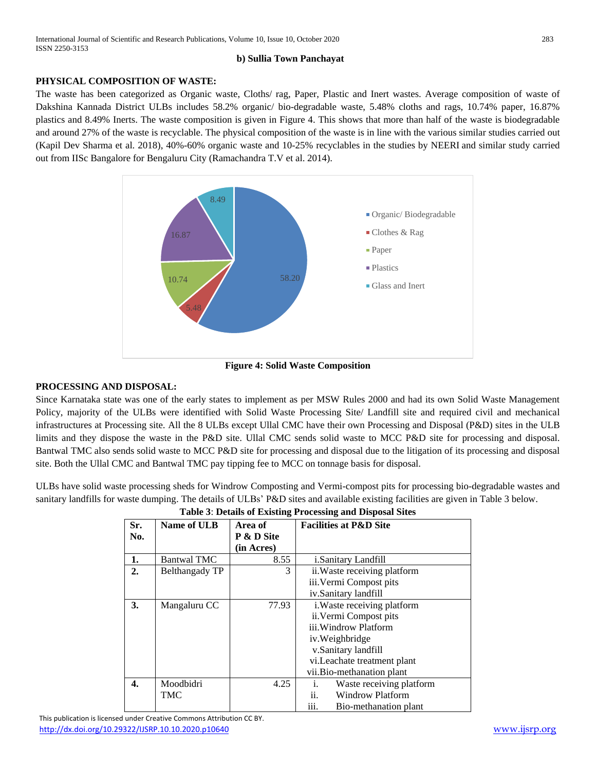### **b) Sullia Town Panchayat**

## **PHYSICAL COMPOSITION OF WASTE:**

The waste has been categorized as Organic waste, Cloths/ rag, Paper, Plastic and Inert wastes. Average composition of waste of Dakshina Kannada District ULBs includes 58.2% organic/ bio-degradable waste, 5.48% cloths and rags, 10.74% paper, 16.87% plastics and 8.49% Inerts. The waste composition is given in Figure 4. This shows that more than half of the waste is biodegradable and around 27% of the waste is recyclable. The physical composition of the waste is in line with the various similar studies carried out (Kapil Dev Sharma et al. 2018), 40%-60% organic waste and 10-25% recyclables in the studies by NEERI and similar study carried out from IISc Bangalore for Bengaluru City (Ramachandra T.V et al. 2014).



**Figure 4: Solid Waste Composition**

### **PROCESSING AND DISPOSAL:**

Since Karnataka state was one of the early states to implement as per MSW Rules 2000 and had its own Solid Waste Management Policy, majority of the ULBs were identified with Solid Waste Processing Site/ Landfill site and required civil and mechanical infrastructures at Processing site. All the 8 ULBs except Ullal CMC have their own Processing and Disposal (P&D) sites in the ULB limits and they dispose the waste in the P&D site. Ullal CMC sends solid waste to MCC P&D site for processing and disposal. Bantwal TMC also sends solid waste to MCC P&D site for processing and disposal due to the litigation of its processing and disposal site. Both the Ullal CMC and Bantwal TMC pay tipping fee to MCC on tonnage basis for disposal.

ULBs have solid waste processing sheds for Windrow Composting and Vermi-compost pits for processing bio-degradable wastes and sanitary landfills for waste dumping. The details of ULBs' P&D sites and available existing facilities are given in Table 3 below.

| Sr. | Name of ULB        | Area of    | <b>Facilities at P&amp;D Site</b>   |
|-----|--------------------|------------|-------------------------------------|
| No. |                    | P & D Site |                                     |
|     |                    | (in Acres) |                                     |
| 1.  | <b>Bantwal TMC</b> | 8.55       | <i>i.Sanitary Landfill</i>          |
| 2.  | Belthangady TP     | 3          | ii. Waste receiving platform        |
|     |                    |            | iii. Vermi Compost pits             |
|     |                    |            | iv.Sanitary landfill                |
| 3.  | Mangaluru CC       | 77.93      | <i>i</i> . Waste receiving platform |
|     |                    |            | ii. Vermi Compost pits              |
|     |                    |            | iii. Windrow Platform               |
|     |                    |            | iv. Weighbridge                     |
|     |                    |            | v.Sanitary landfill                 |
|     |                    |            | vi. Leachate treatment plant        |
|     |                    |            | vii.Bio-methanation plant           |
| 4.  | Moodbidri          | 4.25       | Waste receiving platform<br>i.      |
|     | TMC                |            | ii.<br><b>Windrow Platform</b>      |
|     |                    |            | iii.<br>Bio-methanation plant       |

## **Table 3**: **Details of Existing Processing and Disposal Sites**

 This publication is licensed under Creative Commons Attribution CC BY. <http://dx.doi.org/10.29322/IJSRP.10.10.2020.p10640> [www.ijsrp.org](http://ijsrp.org/)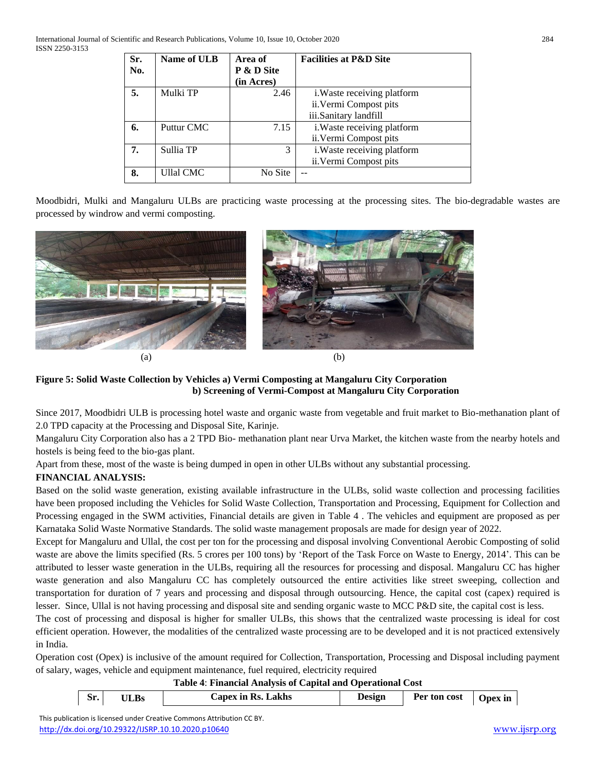| Sr. | Name of ULB      | Area of    | <b>Facilities at P&amp;D Site</b>  |
|-----|------------------|------------|------------------------------------|
| No. |                  | P & D Site |                                    |
|     |                  | (in Acres) |                                    |
| 5.  | Mulki TP         | 2.46       | <i>i.</i> Waste receiving platform |
|     |                  |            | ii. Vermi Compost pits             |
|     |                  |            | iii.Sanitary landfill              |
| 6.  | Puttur CMC       | 7.15       | i. Waste receiving platform        |
|     |                  |            | ii. Vermi Compost pits             |
| 7.  | Sullia TP        | 3          | i. Waste receiving platform        |
|     |                  |            | ii. Vermi Compost pits             |
| 8.  | <b>Ullal CMC</b> | No Site    |                                    |

Moodbidri, Mulki and Mangaluru ULBs are practicing waste processing at the processing sites. The bio-degradable wastes are processed by windrow and vermi composting.





**Figure 5: Solid Waste Collection by Vehicles a) Vermi Composting at Mangaluru City Corporation b) Screening of Vermi-Compost at Mangaluru City Corporation**

Since 2017, Moodbidri ULB is processing hotel waste and organic waste from vegetable and fruit market to Bio-methanation plant of 2.0 TPD capacity at the Processing and Disposal Site, Karinje.

Mangaluru City Corporation also has a 2 TPD Bio- methanation plant near Urva Market, the kitchen waste from the nearby hotels and hostels is being feed to the bio-gas plant.

Apart from these, most of the waste is being dumped in open in other ULBs without any substantial processing.

## **FINANCIAL ANALYSIS:**

Based on the solid waste generation, existing available infrastructure in the ULBs, solid waste collection and processing facilities have been proposed including the Vehicles for Solid Waste Collection, Transportation and Processing, Equipment for Collection and Processing engaged in the SWM activities, Financial details are given in Table 4 . The vehicles and equipment are proposed as per Karnataka Solid Waste Normative Standards. The solid waste management proposals are made for design year of 2022.

Except for Mangaluru and Ullal, the cost per ton for the processing and disposal involving Conventional Aerobic Composting of solid waste are above the limits specified (Rs. 5 crores per 100 tons) by 'Report of the Task Force on Waste to Energy, 2014'. This can be attributed to lesser waste generation in the ULBs, requiring all the resources for processing and disposal. Mangaluru CC has higher waste generation and also Mangaluru CC has completely outsourced the entire activities like street sweeping, collection and transportation for duration of 7 years and processing and disposal through outsourcing. Hence, the capital cost (capex) required is lesser. Since, Ullal is not having processing and disposal site and sending organic waste to MCC P&D site, the capital cost is less.

The cost of processing and disposal is higher for smaller ULBs, this shows that the centralized waste processing is ideal for cost efficient operation. However, the modalities of the centralized waste processing are to be developed and it is not practiced extensively in India.

Operation cost (Opex) is inclusive of the amount required for Collection, Transportation, Processing and Disposal including payment of salary, wages, vehicle and equipment maintenance, fuel required, electricity required

**Table 4**: **Financial Analysis of Capital and Operational Cost** 

| Sr. | <b>ULBs</b> | <b>Capex in Rs. Lakhs</b> | <b>Design</b> | Per ton cost | Opex in |
|-----|-------------|---------------------------|---------------|--------------|---------|
|     |             |                           |               |              |         |

 This publication is licensed under Creative Commons Attribution CC BY. <http://dx.doi.org/10.29322/IJSRP.10.10.2020.p10640> [www.ijsrp.org](http://ijsrp.org/)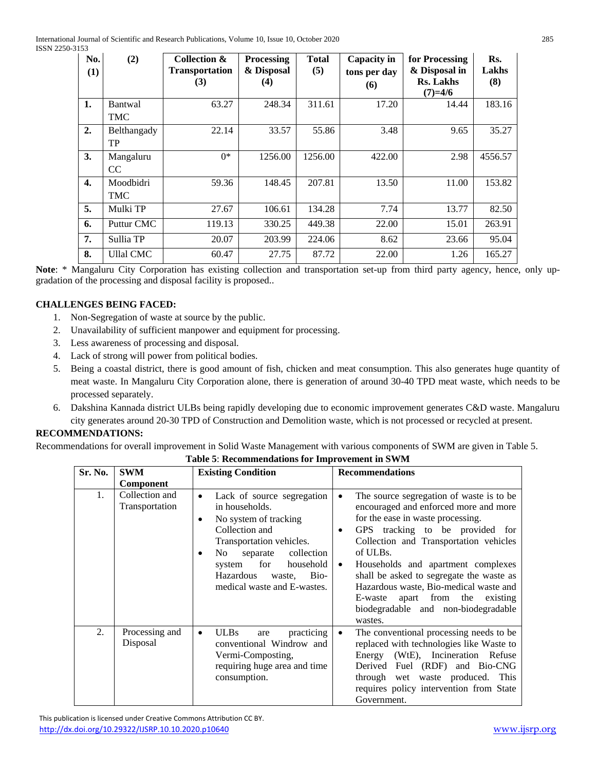| No.<br>(1)       | (2)              | Collection &<br><b>Transportation</b><br>(3) | <b>Processing</b><br>& Disposal<br>(4) | <b>Total</b><br>(5) | Capacity in<br>tons per day<br>(6) | for Processing<br>& Disposal in<br><b>Rs. Lakhs</b><br>$(7)=4/6$ | Rs.<br>Lakhs<br>(8) |
|------------------|------------------|----------------------------------------------|----------------------------------------|---------------------|------------------------------------|------------------------------------------------------------------|---------------------|
| 1.               | <b>Bantwal</b>   | 63.27                                        | 248.34                                 | 311.61              | 17.20                              | 14.44                                                            | 183.16              |
|                  | TMC              |                                              |                                        |                     |                                    |                                                                  |                     |
| 2.               | Belthangady      | 22.14                                        | 33.57                                  | 55.86               | 3.48                               | 9.65                                                             | 35.27               |
|                  | TP               |                                              |                                        |                     |                                    |                                                                  |                     |
| 3.               | Mangaluru        | $0^*$                                        | 1256.00                                | 1256.00             | 422.00                             | 2.98                                                             | 4556.57             |
|                  | CC               |                                              |                                        |                     |                                    |                                                                  |                     |
| $\overline{4}$ . | Moodbidri        | 59.36                                        | 148.45                                 | 207.81              | 13.50                              | 11.00                                                            | 153.82              |
|                  | TMC              |                                              |                                        |                     |                                    |                                                                  |                     |
| 5.               | Mulki TP         | 27.67                                        | 106.61                                 | 134.28              | 7.74                               | 13.77                                                            | 82.50               |
| 6.               | Puttur CMC       | 119.13                                       | 330.25                                 | 449.38              | 22.00                              | 15.01                                                            | 263.91              |
| 7.               | Sullia TP        | 20.07                                        | 203.99                                 | 224.06              | 8.62                               | 23.66                                                            | 95.04               |
| 8.               | <b>Ullal CMC</b> | 60.47                                        | 27.75                                  | 87.72               | 22.00                              | 1.26                                                             | 165.27              |

**Note**: \* Mangaluru City Corporation has existing collection and transportation set-up from third party agency, hence, only upgradation of the processing and disposal facility is proposed..

## **CHALLENGES BEING FACED:**

- 1. Non-Segregation of waste at source by the public.
- 2. Unavailability of sufficient manpower and equipment for processing.
- 3. Less awareness of processing and disposal.
- 4. Lack of strong will power from political bodies.
- 5. Being a coastal district, there is good amount of fish, chicken and meat consumption. This also generates huge quantity of meat waste. In Mangaluru City Corporation alone, there is generation of around 30-40 TPD meat waste, which needs to be processed separately.
- 6. Dakshina Kannada district ULBs being rapidly developing due to economic improvement generates C&D waste. Mangaluru city generates around 20-30 TPD of Construction and Demolition waste, which is not processed or recycled at present.

## **RECOMMENDATIONS:**

Recommendations for overall improvement in Solid Waste Management with various components of SWM are given in Table 5.

**Table 5**: **Recommendations for Improvement in SWM** 

| Sr. No. | <b>SWM</b>                       | <b>Existing Condition</b>                                                                                                                                                                                                                             | <b>Recommendations</b>                                                                                                                                                                                                                                                                                                                                                                                                                                                        |
|---------|----------------------------------|-------------------------------------------------------------------------------------------------------------------------------------------------------------------------------------------------------------------------------------------------------|-------------------------------------------------------------------------------------------------------------------------------------------------------------------------------------------------------------------------------------------------------------------------------------------------------------------------------------------------------------------------------------------------------------------------------------------------------------------------------|
|         | <b>Component</b>                 |                                                                                                                                                                                                                                                       |                                                                                                                                                                                                                                                                                                                                                                                                                                                                               |
| 1.      | Collection and<br>Transportation | Lack of source segregation<br>٠<br>in households.<br>No system of tracking<br>Collection and<br>Transportation vehicles.<br>collection<br>separate<br>No.<br>for<br>household<br>system<br>Hazardous<br>Bio-<br>waste,<br>medical waste and E-wastes. | The source segregation of waste is to be<br>$\bullet$<br>encouraged and enforced more and more<br>for the ease in waste processing.<br>GPS tracking to be provided for<br>$\bullet$<br>Collection and Transportation vehicles<br>of ULBs.<br>Households and apartment complexes<br>$\bullet$<br>shall be asked to segregate the waste as<br>Hazardous waste, Bio-medical waste and<br>apart from the<br>E-waste<br>existing<br>biodegradable and non-biodegradable<br>wastes. |
| 2.      | Processing and<br>Disposal       | <b>ULBs</b><br>practicing<br>are<br>$\bullet$<br>conventional Windrow and<br>Vermi-Composting,<br>requiring huge area and time<br>consumption.                                                                                                        | The conventional processing needs to be<br>$\bullet$<br>replaced with technologies like Waste to<br>Energy (WtE), Incineration Refuse<br>Derived Fuel (RDF) and Bio-CNG<br>through wet waste produced. This<br>requires policy intervention from State<br>Government.                                                                                                                                                                                                         |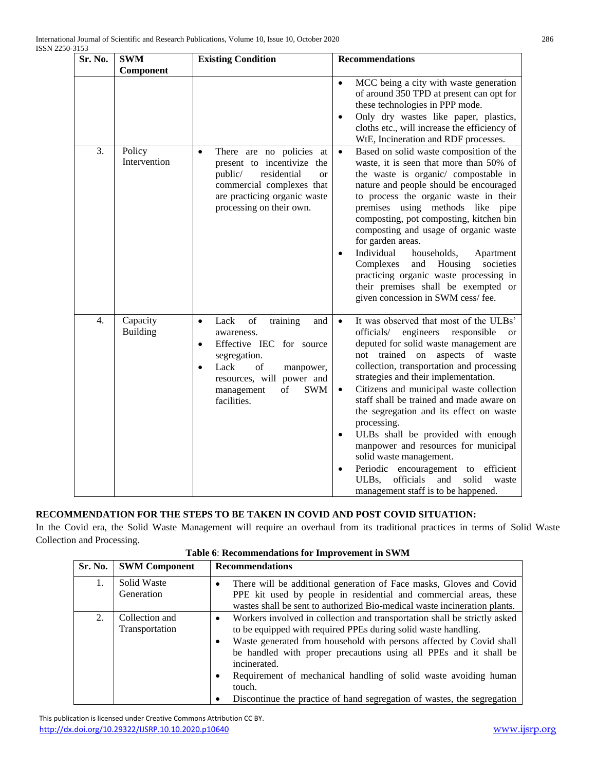| Sr. No. | <b>SWM</b>                  | <b>Existing Condition</b>                                                                                                                                                                                                               | <b>Recommendations</b>                                                                                                                                                                                                                                                                                                                                                                                                                                                                                                                                                                                                                                                                        |
|---------|-----------------------------|-----------------------------------------------------------------------------------------------------------------------------------------------------------------------------------------------------------------------------------------|-----------------------------------------------------------------------------------------------------------------------------------------------------------------------------------------------------------------------------------------------------------------------------------------------------------------------------------------------------------------------------------------------------------------------------------------------------------------------------------------------------------------------------------------------------------------------------------------------------------------------------------------------------------------------------------------------|
|         | Component                   |                                                                                                                                                                                                                                         |                                                                                                                                                                                                                                                                                                                                                                                                                                                                                                                                                                                                                                                                                               |
|         |                             |                                                                                                                                                                                                                                         | MCC being a city with waste generation<br>$\bullet$<br>of around 350 TPD at present can opt for<br>these technologies in PPP mode.<br>Only dry wastes like paper, plastics,<br>$\bullet$<br>cloths etc., will increase the efficiency of<br>WtE, Incineration and RDF processes.                                                                                                                                                                                                                                                                                                                                                                                                              |
| 3.      | Policy<br>Intervention      | There are no policies at<br>$\bullet$<br>present to incentivize the<br>residential<br>public/<br><sub>or</sub><br>commercial complexes that<br>are practicing organic waste<br>processing on their own.                                 | Based on solid waste composition of the<br>$\bullet$<br>waste, it is seen that more than 50% of<br>the waste is organic/ compostable in<br>nature and people should be encouraged<br>to process the organic waste in their<br>premises using methods like pipe<br>composting, pot composting, kitchen bin<br>composting and usage of organic waste<br>for garden areas.<br>Individual<br>households,<br>Apartment<br>$\bullet$<br>Housing<br>Complexes<br>and<br>societies<br>practicing organic waste processing in<br>their premises shall be exempted or<br>given concession in SWM cess/fee.                                                                                              |
| 4.      | Capacity<br><b>Building</b> | Lack<br>of<br>training<br>and<br>$\bullet$<br>awareness.<br>Effective IEC for source<br>$\bullet$<br>segregation.<br>Lack<br>of<br>manpower,<br>$\bullet$<br>resources, will power and<br><b>SWM</b><br>of<br>management<br>facilities. | It was observed that most of the ULBs'<br>$\bullet$<br>officials/<br>engineers<br>responsible<br><b>or</b><br>deputed for solid waste management are<br>not trained on aspects of waste<br>collection, transportation and processing<br>strategies and their implementation.<br>Citizens and municipal waste collection<br>$\bullet$<br>staff shall be trained and made aware on<br>the segregation and its effect on waste<br>processing.<br>ULBs shall be provided with enough<br>$\bullet$<br>manpower and resources for municipal<br>solid waste management.<br>Periodic encouragement to efficient<br>ULBs,<br>officials<br>and<br>solid<br>waste<br>management staff is to be happened. |

## **RECOMMENDATION FOR THE STEPS TO BE TAKEN IN COVID AND POST COVID SITUATION:**

In the Covid era, the Solid Waste Management will require an overhaul from its traditional practices in terms of Solid Waste Collection and Processing.

| Table 6: Recommendations for Improvement in SWM |  |
|-------------------------------------------------|--|
|-------------------------------------------------|--|

| Sr. No. | <b>SWM Component</b>             | <b>Recommendations</b>                                                                                                                                                                                                                                                                                                                                                                                                                                                                  |
|---------|----------------------------------|-----------------------------------------------------------------------------------------------------------------------------------------------------------------------------------------------------------------------------------------------------------------------------------------------------------------------------------------------------------------------------------------------------------------------------------------------------------------------------------------|
| 1.      | Solid Waste<br>Generation        | There will be additional generation of Face masks, Gloves and Covid<br>PPE kit used by people in residential and commercial areas, these<br>wastes shall be sent to authorized Bio-medical waste incineration plants.                                                                                                                                                                                                                                                                   |
| 2.      | Collection and<br>Transportation | Workers involved in collection and transportation shall be strictly asked<br>$\bullet$<br>to be equipped with required PPEs during solid waste handling.<br>Waste generated from household with persons affected by Covid shall<br>٠<br>be handled with proper precautions using all PPEs and it shall be<br>incinerated.<br>Requirement of mechanical handling of solid waste avoiding human<br>٠<br>touch.<br>Discontinue the practice of hand segregation of wastes, the segregation |

 This publication is licensed under Creative Commons Attribution CC BY. <http://dx.doi.org/10.29322/IJSRP.10.10.2020.p10640> [www.ijsrp.org](http://ijsrp.org/)